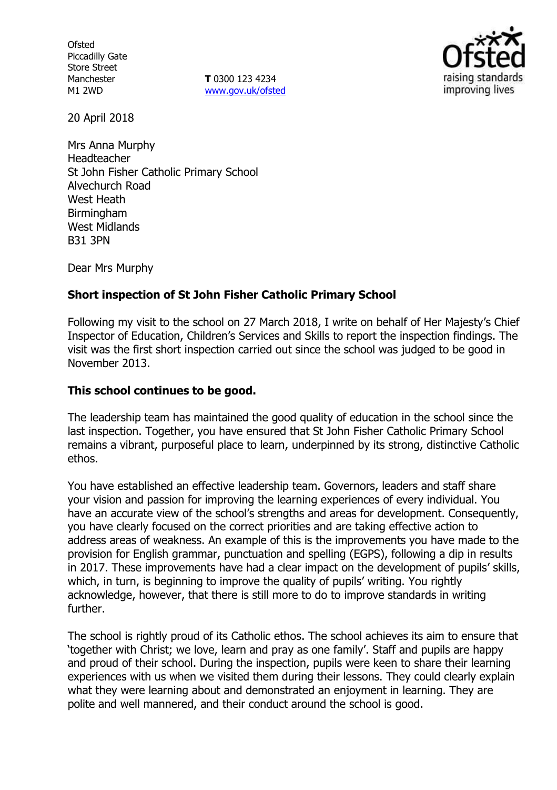**Ofsted** Piccadilly Gate Store Street Manchester M1 2WD

**T** 0300 123 4234 www.gov.uk/ofsted



20 April 2018

Mrs Anna Murphy Headteacher St John Fisher Catholic Primary School Alvechurch Road West Heath **Birmingham** West Midlands B31 3PN

Dear Mrs Murphy

# **Short inspection of St John Fisher Catholic Primary School**

Following my visit to the school on 27 March 2018, I write on behalf of Her Majesty's Chief Inspector of Education, Children's Services and Skills to report the inspection findings. The visit was the first short inspection carried out since the school was judged to be good in November 2013.

### **This school continues to be good.**

The leadership team has maintained the good quality of education in the school since the last inspection. Together, you have ensured that St John Fisher Catholic Primary School remains a vibrant, purposeful place to learn, underpinned by its strong, distinctive Catholic ethos.

You have established an effective leadership team. Governors, leaders and staff share your vision and passion for improving the learning experiences of every individual. You have an accurate view of the school's strengths and areas for development. Consequently, you have clearly focused on the correct priorities and are taking effective action to address areas of weakness. An example of this is the improvements you have made to the provision for English grammar, punctuation and spelling (EGPS), following a dip in results in 2017. These improvements have had a clear impact on the development of pupils' skills, which, in turn, is beginning to improve the quality of pupils' writing. You rightly acknowledge, however, that there is still more to do to improve standards in writing further.

The school is rightly proud of its Catholic ethos. The school achieves its aim to ensure that 'together with Christ; we love, learn and pray as one family'. Staff and pupils are happy and proud of their school. During the inspection, pupils were keen to share their learning experiences with us when we visited them during their lessons. They could clearly explain what they were learning about and demonstrated an enjoyment in learning. They are polite and well mannered, and their conduct around the school is good.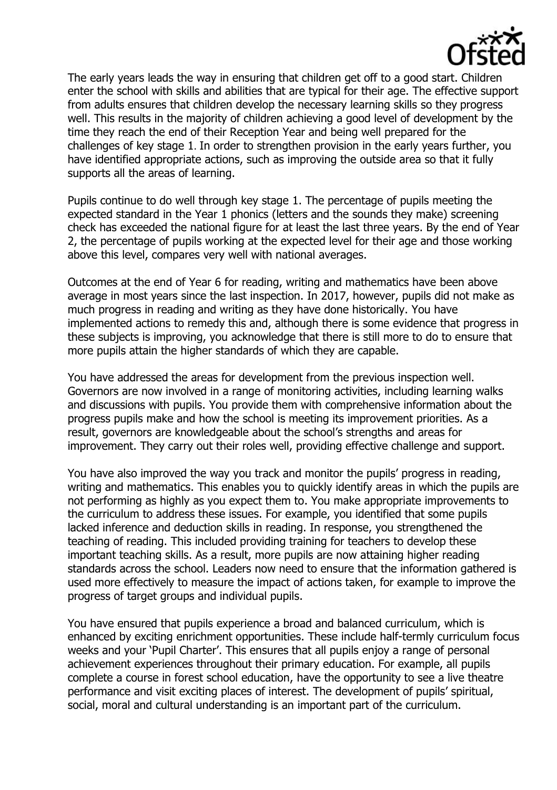

The early years leads the way in ensuring that children get off to a good start. Children enter the school with skills and abilities that are typical for their age. The effective support from adults ensures that children develop the necessary learning skills so they progress well. This results in the majority of children achieving a good level of development by the time they reach the end of their Reception Year and being well prepared for the challenges of key stage 1. In order to strengthen provision in the early years further, you have identified appropriate actions, such as improving the outside area so that it fully supports all the areas of learning.

Pupils continue to do well through key stage 1. The percentage of pupils meeting the expected standard in the Year 1 phonics (letters and the sounds they make) screening check has exceeded the national figure for at least the last three years. By the end of Year 2, the percentage of pupils working at the expected level for their age and those working above this level, compares very well with national averages.

Outcomes at the end of Year 6 for reading, writing and mathematics have been above average in most years since the last inspection. In 2017, however, pupils did not make as much progress in reading and writing as they have done historically. You have implemented actions to remedy this and, although there is some evidence that progress in these subjects is improving, you acknowledge that there is still more to do to ensure that more pupils attain the higher standards of which they are capable.

You have addressed the areas for development from the previous inspection well. Governors are now involved in a range of monitoring activities, including learning walks and discussions with pupils. You provide them with comprehensive information about the progress pupils make and how the school is meeting its improvement priorities. As a result, governors are knowledgeable about the school's strengths and areas for improvement. They carry out their roles well, providing effective challenge and support.

You have also improved the way you track and monitor the pupils' progress in reading, writing and mathematics. This enables you to quickly identify areas in which the pupils are not performing as highly as you expect them to. You make appropriate improvements to the curriculum to address these issues. For example, you identified that some pupils lacked inference and deduction skills in reading. In response, you strengthened the teaching of reading. This included providing training for teachers to develop these important teaching skills. As a result, more pupils are now attaining higher reading standards across the school. Leaders now need to ensure that the information gathered is used more effectively to measure the impact of actions taken, for example to improve the progress of target groups and individual pupils.

You have ensured that pupils experience a broad and balanced curriculum, which is enhanced by exciting enrichment opportunities. These include half-termly curriculum focus weeks and your 'Pupil Charter'. This ensures that all pupils enjoy a range of personal achievement experiences throughout their primary education. For example, all pupils complete a course in forest school education, have the opportunity to see a live theatre performance and visit exciting places of interest. The development of pupils' spiritual, social, moral and cultural understanding is an important part of the curriculum.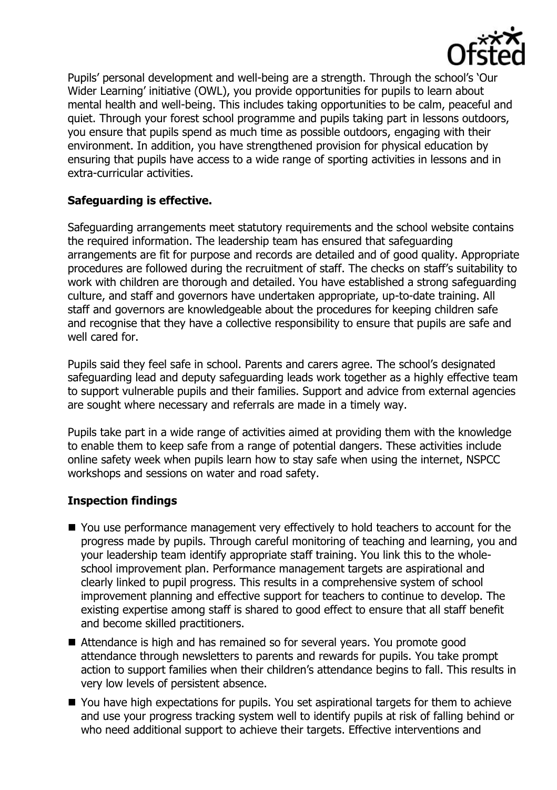

Pupils' personal development and well-being are a strength. Through the school's 'Our Wider Learning' initiative (OWL), you provide opportunities for pupils to learn about mental health and well-being. This includes taking opportunities to be calm, peaceful and quiet. Through your forest school programme and pupils taking part in lessons outdoors, you ensure that pupils spend as much time as possible outdoors, engaging with their environment. In addition, you have strengthened provision for physical education by ensuring that pupils have access to a wide range of sporting activities in lessons and in extra-curricular activities.

# **Safeguarding is effective.**

Safeguarding arrangements meet statutory requirements and the school website contains the required information. The leadership team has ensured that safeguarding arrangements are fit for purpose and records are detailed and of good quality. Appropriate procedures are followed during the recruitment of staff. The checks on staff's suitability to work with children are thorough and detailed. You have established a strong safeguarding culture, and staff and governors have undertaken appropriate, up-to-date training. All staff and governors are knowledgeable about the procedures for keeping children safe and recognise that they have a collective responsibility to ensure that pupils are safe and well cared for.

Pupils said they feel safe in school. Parents and carers agree. The school's designated safeguarding lead and deputy safeguarding leads work together as a highly effective team to support vulnerable pupils and their families. Support and advice from external agencies are sought where necessary and referrals are made in a timely way.

Pupils take part in a wide range of activities aimed at providing them with the knowledge to enable them to keep safe from a range of potential dangers. These activities include online safety week when pupils learn how to stay safe when using the internet, NSPCC workshops and sessions on water and road safety.

# **Inspection findings**

- You use performance management very effectively to hold teachers to account for the progress made by pupils. Through careful monitoring of teaching and learning, you and your leadership team identify appropriate staff training. You link this to the wholeschool improvement plan. Performance management targets are aspirational and clearly linked to pupil progress. This results in a comprehensive system of school improvement planning and effective support for teachers to continue to develop. The existing expertise among staff is shared to good effect to ensure that all staff benefit and become skilled practitioners.
- Attendance is high and has remained so for several years. You promote good attendance through newsletters to parents and rewards for pupils. You take prompt action to support families when their children's attendance begins to fall. This results in very low levels of persistent absence.
- You have high expectations for pupils. You set aspirational targets for them to achieve and use your progress tracking system well to identify pupils at risk of falling behind or who need additional support to achieve their targets. Effective interventions and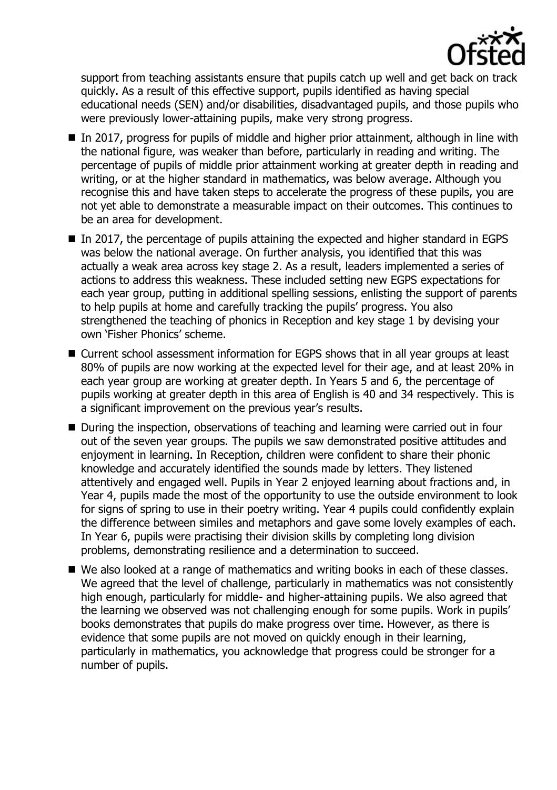

support from teaching assistants ensure that pupils catch up well and get back on track quickly. As a result of this effective support, pupils identified as having special educational needs (SEN) and/or disabilities, disadvantaged pupils, and those pupils who were previously lower-attaining pupils, make very strong progress.

- In 2017, progress for pupils of middle and higher prior attainment, although in line with the national figure, was weaker than before, particularly in reading and writing. The percentage of pupils of middle prior attainment working at greater depth in reading and writing, or at the higher standard in mathematics, was below average. Although you recognise this and have taken steps to accelerate the progress of these pupils, you are not yet able to demonstrate a measurable impact on their outcomes. This continues to be an area for development.
- In 2017, the percentage of pupils attaining the expected and higher standard in EGPS was below the national average. On further analysis, you identified that this was actually a weak area across key stage 2. As a result, leaders implemented a series of actions to address this weakness. These included setting new EGPS expectations for each year group, putting in additional spelling sessions, enlisting the support of parents to help pupils at home and carefully tracking the pupils' progress. You also strengthened the teaching of phonics in Reception and key stage 1 by devising your own 'Fisher Phonics' scheme.
- Current school assessment information for EGPS shows that in all year groups at least 80% of pupils are now working at the expected level for their age, and at least 20% in each year group are working at greater depth. In Years 5 and 6, the percentage of pupils working at greater depth in this area of English is 40 and 34 respectively. This is a significant improvement on the previous year's results.
- During the inspection, observations of teaching and learning were carried out in four out of the seven year groups. The pupils we saw demonstrated positive attitudes and enjoyment in learning. In Reception, children were confident to share their phonic knowledge and accurately identified the sounds made by letters. They listened attentively and engaged well. Pupils in Year 2 enjoyed learning about fractions and, in Year 4, pupils made the most of the opportunity to use the outside environment to look for signs of spring to use in their poetry writing. Year 4 pupils could confidently explain the difference between similes and metaphors and gave some lovely examples of each. In Year 6, pupils were practising their division skills by completing long division problems, demonstrating resilience and a determination to succeed.
- We also looked at a range of mathematics and writing books in each of these classes. We agreed that the level of challenge, particularly in mathematics was not consistently high enough, particularly for middle- and higher-attaining pupils. We also agreed that the learning we observed was not challenging enough for some pupils. Work in pupils' books demonstrates that pupils do make progress over time. However, as there is evidence that some pupils are not moved on quickly enough in their learning, particularly in mathematics, you acknowledge that progress could be stronger for a number of pupils.